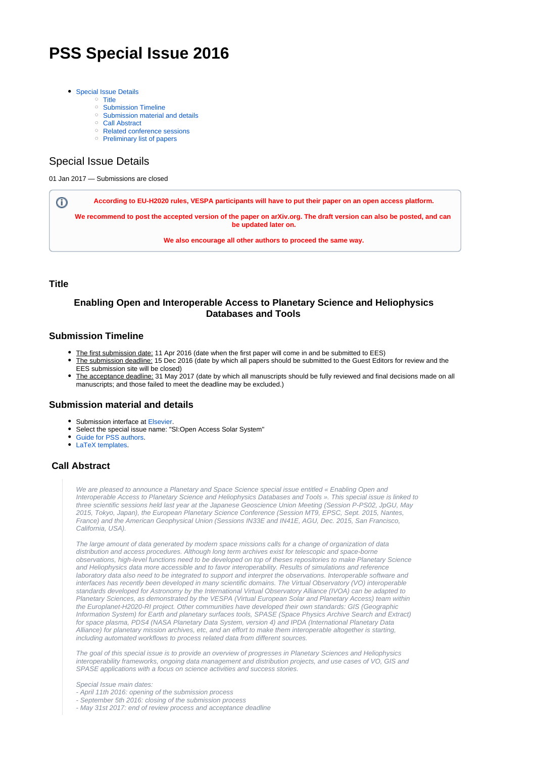# **PSS Special Issue 2016**

- [Special Issue Details](#page-0-0)
	- o [Title](#page-0-1)
	- <sup>o</sup> [Submission Timeline](#page-0-2)
	- <sup>o</sup> [Submission material and details](#page-0-3)
	- [Call Abstract](#page-0-4)
	- <sup>o</sup> [Related conference sessions](#page-1-0)
	- <sup>o</sup> [Preliminary list of papers](#page-1-1)

### <span id="page-0-0"></span>Special Issue Details

01 Jan 2017 — Submissions are closed

**According to EU-H2020 rules, VESPA participants will have to put their paper on an open access platform.** ⊕

**We recommend to post the accepted version of the paper on [arXiv.org.](https://arxiv.org) The draft version can also be posted, and can be updated later on.**

**We also encourage all other authors to proceed the same way.**

#### <span id="page-0-1"></span>**Title**

#### **Enabling Open and Interoperable Access to Planetary Science and Heliophysics Databases and Tools**

#### <span id="page-0-2"></span>**Submission Timeline**

- The first submission date: 11 Apr 2016 (date when the first paper will come in and be submitted to EES)
- The submission deadline: 15 Dec 2016 (date by which all papers should be submitted to the Guest Editors for review and the EES submission site will be closed)
- The acceptance deadline: 31 May 2017 (date by which all manuscripts should be fully reviewed and final decisions made on all manuscripts; and those failed to meet the deadline may be excluded.)

#### <span id="page-0-3"></span>**Submission material and details**

- Submission interface at [Elsevier](http://www.evise.com/evise/faces/pages/navigation/NavController.jspx?JRNL_ACR=PSS).
- Select the special issue name: "SI:Open Access Solar System"
- [Guide for PSS authors.](https://www.elsevier.com/journals/planetary-and-space-science/0032-0633/guide-for-authors)
- [LaTeX templates](http://www.ctan.org/tex-archive/macros/latex/contrib/elsarticle).

#### <span id="page-0-4"></span>**Call Abstract**

We are pleased to announce a Planetary and Space Science special issue entitled « Enabling Open and Interoperable Access to Planetary Science and Heliophysics Databases and Tools ». This special issue is linked to three scientific sessions held last year at the Japanese Geoscience Union Meeting (Session P-PS02, JpGU, May 2015, Tokyo, Japan), the European Planetary Science Conference (Session MT9, EPSC, Sept. 2015, Nantes, France) and the American Geophysical Union (Sessions IN33E and IN41E, AGU, Dec. 2015, San Francisco, California, USA).

The large amount of data generated by modern space missions calls for a change of organization of data distribution and access procedures. Although long term archives exist for telescopic and space-borne observations, high-level functions need to be developed on top of theses repositories to make Planetary Science and Heliophysics data more accessible and to favor interoperability. Results of simulations and reference laboratory data also need to be integrated to support and interpret the observations. Interoperable software and interfaces has recently been developed in many scientific domains. The Virtual Observatory (VO) interoperable standards developed for Astronomy by the International Virtual Observatory Alliance (IVOA) can be adapted to Planetary Sciences, as demonstrated by the VESPA (Virtual European Solar and Planetary Access) team within the Europlanet-H2020-RI project. Other communities have developed their own standards: GIS (Geographic Information System) for Earth and planetary surfaces tools, SPASE (Space Physics Archive Search and Extract) for space plasma, PDS4 (NASA Planetary Data System, version 4) and IPDA (International Planetary Data Alliance) for planetary mission archives, etc, and an effort to make them interoperable altogether is starting, including automated workflows to process related data from different sources.

The goal of this special issue is to provide an overview of progresses in Planetary Sciences and Heliophysics interoperability frameworks, ongoing data management and distribution projects, and use cases of VO, GIS and SPASE applications with a focus on science activities and success stories.

Special Issue main dates: - April 11th 2016: opening of the submission process

- September 5th 2016: closing of the submission process
- May 31st 2017: end of review process and acceptance deadline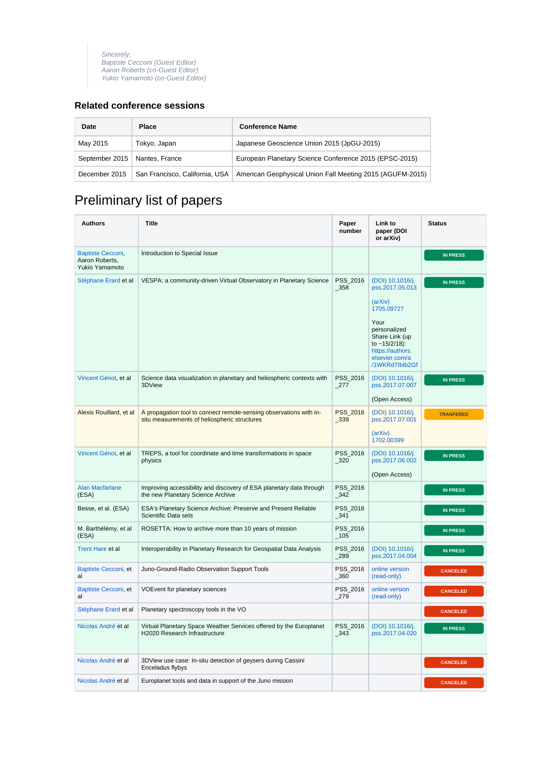Sincerely, Baptiste Cecconi (Guest Editor) Aaron Roberts (co-Guest Editor) Yukio Yamamoto (co-Guest Editor)

## <span id="page-1-0"></span>**Related conference sessions**

| Date           | <b>Place</b>   | <b>Conference Name</b>                                                                     |
|----------------|----------------|--------------------------------------------------------------------------------------------|
| May 2015       | Tokyo, Japan   | Japanese Geoscience Union 2015 (JpGU-2015)                                                 |
| September 2015 | Nantes, France | European Planetary Science Conference 2015 (EPSC-2015)                                     |
| December 2015  |                | San Francisco, California, USA   American Geophysical Union Fall Meeting 2015 (AGUFM-2015) |

## <span id="page-1-1"></span>Preliminary list of papers

| <b>Authors</b>                                               | <b>Title</b>                                                                                                       | Paper<br>number     | Link to<br>paper (DOI<br>or arXiv)                                                                                                                                                    | <b>Status</b>    |
|--------------------------------------------------------------|--------------------------------------------------------------------------------------------------------------------|---------------------|---------------------------------------------------------------------------------------------------------------------------------------------------------------------------------------|------------------|
| <b>Baptiste Cecconi,</b><br>Aaron Roberts,<br>Yukio Yamamoto | Introduction to Special Issue                                                                                      |                     |                                                                                                                                                                                       | <b>IN PRESS</b>  |
| Stéphane Erard et al                                         | VESPA: a community-driven Virtual Observatory in Planetary Science                                                 | PSS_2016<br>$-358$  | (DOI) 10.1016/j.<br>pss.2017.05.013<br>(arXiv)<br>1705.09727<br>Your<br>personalized<br>Share Link (up<br>to $\sim$ 15/2/18):<br>https://authors.<br>elsevier.com/a<br>/1WKRd7lblb2Gf | <b>IN PRESS</b>  |
| Vincent Génot, et al                                         | Science data visualization in planetary and heliospheric contexts with<br>3DView                                   | PSS_2016<br>_277    | (DOI) 10.1016/j.<br>pss.2017.07.007<br>(Open Access)                                                                                                                                  | <b>IN PRESS</b>  |
| Alexis Rouillard, et al                                      | A propagation tool to connect remote-sensing observations with in-<br>situ measurements of heliospheric structures | PSS_2016<br>$-339$  | (DOI) 10.1016/j.<br>pss.2017.07.001<br>(arXiv)<br>1702.00399                                                                                                                          | <b>TRANFERED</b> |
| Vincent Génot, et al                                         | TREPS, a tool for coordinate and time transformations in space<br>physics                                          | PSS_2016<br>_320    | (DOI) 10.1016/j.<br>pss.2017.06.002<br>(Open Access)                                                                                                                                  | <b>IN PRESS</b>  |
| <b>Alan Macfarlane</b><br>(ESA)                              | Improving accessibility and discovery of ESA planetary data through<br>the new Planetary Science Archive           | PSS_2016<br>$-342$  |                                                                                                                                                                                       | <b>IN PRESS</b>  |
| Besse, et al. (ESA)                                          | ESA's Planetary Science Archive: Preserve and Present Reliable<br>Scientific Data sets                             | PSS 2016<br>_341    |                                                                                                                                                                                       | <b>IN PRESS</b>  |
| M. Barthélémy, et al<br>(ESA)                                | ROSETTA: How to archive more than 10 years of mission                                                              | PSS_2016<br>$-105$  |                                                                                                                                                                                       | <b>IN PRESS</b>  |
| <b>Trent Hare et al</b>                                      | Interoperability in Planetary Research for Geospatial Data Analysis                                                | PSS_2016<br>_289    | (DOI) 10.1016/j.<br>pss.2017.04.004                                                                                                                                                   | <b>IN PRESS</b>  |
| Baptiste Cecconi, et<br>al                                   | Juno-Ground-Radio Observation Support Tools                                                                        | PSS_2016<br>$\_360$ | online version<br>(read-only)                                                                                                                                                         | <b>CANCELED</b>  |
| Baptiste Cecconi, et<br>al                                   | VOEvent for planetary sciences                                                                                     | PSS_2016<br>279     | online version<br>(read-only)                                                                                                                                                         | <b>CANCELED</b>  |
| Stéphane Erard et al                                         | Planetary spectroscopy tools in the VO                                                                             |                     |                                                                                                                                                                                       | <b>CANCELED</b>  |
| Nicolas André et al                                          | Virtual Planetary Space Weather Services offered by the Europlanet<br>H2020 Research Infrastructure                | PSS_2016<br>$-343$  | (DOI) 10.1016/j.<br>pss.2017.04.020                                                                                                                                                   | <b>IN PRESS</b>  |
| Nicolas André et al                                          | 3DView use case: In-situ detection of geysers during Cassini<br>Enceladus flybys                                   |                     |                                                                                                                                                                                       | <b>CANCELED</b>  |
| Nicolas André et al                                          | Europlanet tools and data in support of the Juno mission                                                           |                     |                                                                                                                                                                                       | <b>CANCELED</b>  |